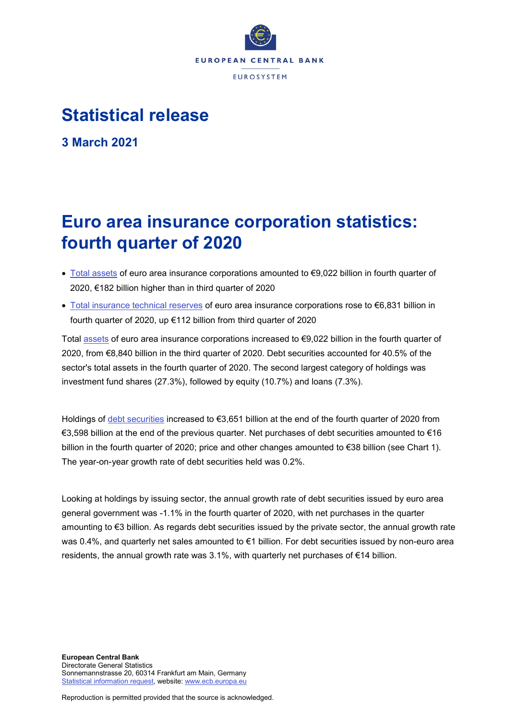

## **Statistical release**

**3 March 2021**

# **Euro area insurance corporation statistics: fourth quarter of 2020**

- [Total assets](https://sdw.ecb.europa.eu/quickview.do?SERIES_KEY=379.ICB.Q.U2.X.S128.T00.T.1.W0.S1._T.EUR) of euro area insurance corporations amounted to €9,022 billion in fourth quarter of 2020, €182 billion higher than in third quarter of 2020
- [Total insurance technical reserves](https://sdw.ecb.europa.eu/quickview.do?SERIES_KEY=379.ICB.Q.U2.X.S128.L40.T.1.W0.S1._T.EUR) of euro area insurance corporations rose to €6,831 billion in fourth quarter of 2020, up €112 billion from third quarter of 2020

Total [assets](https://sdw.ecb.europa.eu/browseSelection.do?type=series&q=ICB.Q.U2.X.S128.T00.T.1.W0.S1._T.EUR+ICB.Q.U2.X.S128.A30.T.1.W0.S1._T.EUR+ICB.Q.U2.X.S128.A30.T.4.W0.S1._T.EUR+ICB.Q.U2.X.S128.A30.T.Z.W0.S1._T.EUR&node=SEARCHRESULTS&ec=&oc=&rc=&cv=&pb=&dc=&df=) of euro area insurance corporations increased to €9,022 billion in the fourth quarter of 2020, from €8,840 billion in the third quarter of 2020. Debt securities accounted for 40.5% of the sector's total assets in the fourth quarter of 2020. The second largest category of holdings was investment fund shares (27.3%), followed by equity (10.7%) and loans (7.3%).

Holdings of [debt securities](https://sdw.ecb.europa.eu/browseSelection.do?type=series&q=ICB.Q.U2.X.S128.A30.T.1.W0.S1._T.EUR+ICB.Q.U2.X.S128.A30.T.4.W0.S1._T.EUR+ICB.Q.U2.X.S128.A30.T.Z.W0.S1._T.EUR&node=SEARCHRESULTS&ec=&oc=&rc=&cv=&pb=&dc=&df=) increased to €3,651 billion at the end of the fourth quarter of 2020 from €3,598 billion at the end of the previous quarter. Net purchases of debt securities amounted to €16 billion in the fourth quarter of 2020; price and other changes amounted to €38 billion (see Chart 1). The year-on-year growth rate of debt securities held was 0.2%.

Looking at holdings by issuing sector, the annual growth rate of debt securities issued by euro area general government was -1.1% in the fourth quarter of 2020, with net purchases in the quarter amounting to €3 billion. As regards debt securities issued by the private sector, the annual growth rate was 0.4%, and quarterly net sales amounted to €1 billion. For debt securities issued by non-euro area residents, the annual growth rate was 3.1%, with quarterly net purchases of €14 billion.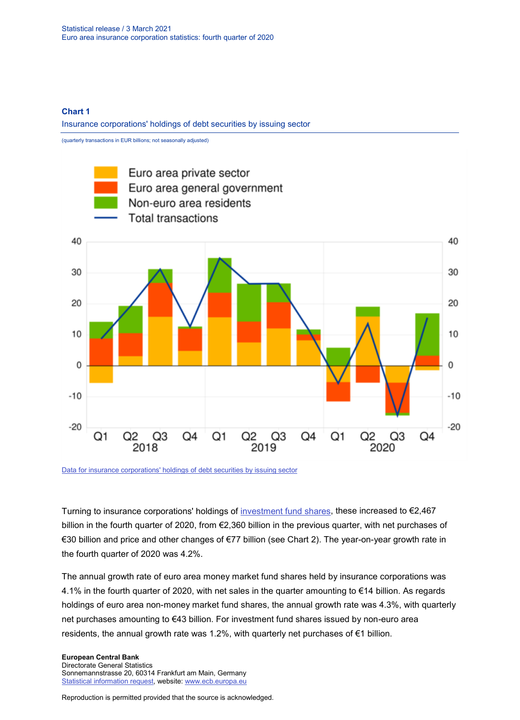### **Chart 1**

Insurance corporations' holdings of debt securities by issuing sector

(quarterly transactions in EUR billions; not seasonally adjusted)



[Data for insurance corporations' holdings of debt securities by issuing sector](https://sdw.ecb.europa.eu/browseSelection.do?type=series&q=ICB.Q.U2.X.S128.A30.T.4.U2.S1._T.EUR%2c+ICB.Q.U2.X.S128.A30.T.4.U2.S13._T.EUR%2c+ICB.Q.U2.X.S128.A30.T.4.U4.S1._T.EUR%2c+ICB.Q.U2.X.S128.A30.T.4.W0.S1._T.EUR&node=SEARCHRESULTS&ec=&oc=&rc=&cv=&pb=&dc=&df=)

Turning to insurance corporations' holdings of [investment fund shares,](https://sdw.ecb.europa.eu/browseSelection.do?type=series&q=ICB.Q.U2.X.S128.A60.T.1.W0.S1._T.EUR+ICB.Q.U2.X.S128.A60.T.4.W0.S1._T.EUR+ICB.Q.U2.X.S128.A60.T.Z.W0.S1._T.EUR&node=SEARCHRESULTS&ec=&oc=&rc=&cv=&pb=&dc=&df=) these increased to €2,467 billion in the fourth quarter of 2020, from €2,360 billion in the previous quarter, with net purchases of €30 billion and price and other changes of €77 billion (see Chart 2). The year-on-year growth rate in the fourth quarter of 2020 was 4.2%.

The annual growth rate of euro area money market fund shares held by insurance corporations was 4.1% in the fourth quarter of 2020, with net sales in the quarter amounting to €14 billion. As regards holdings of euro area non-money market fund shares, the annual growth rate was 4.3%, with quarterly net purchases amounting to €43 billion. For investment fund shares issued by non-euro area residents, the annual growth rate was 1.2%, with quarterly net purchases of  $\epsilon$ 1 billion.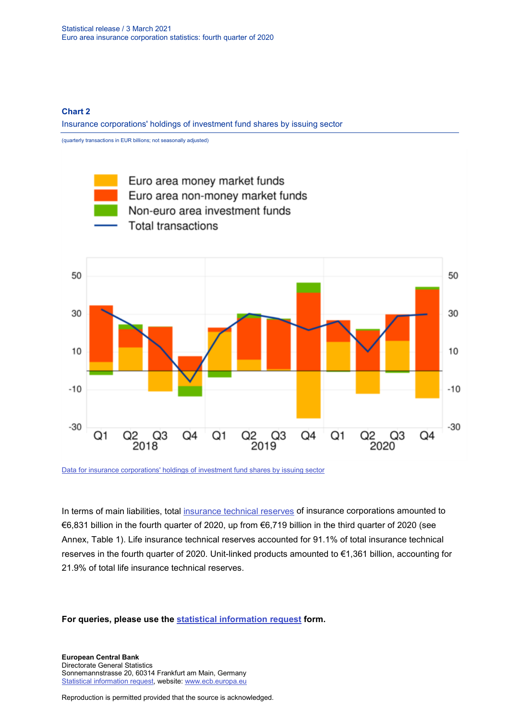### **Chart 2**

Insurance corporations' holdings of investment fund shares by issuing sector

(quarterly transactions in EUR billions; not seasonally adjusted)



[Data for insurance corporations' holdings of investment fund shares by issuing sector](https://sdw.ecb.europa.eu/browseSelection.do?type=series&q=ICB.Q.U2.X.S128.A61.T.4.U2.S12K._T.EUR%2c+ICB.Q.U2.X.S128.A62.T.4.U2.S124._T.EUR%2c++ICB.Q.U2.X.S128.A60.T.4.U4.S1._T.EUR%2c+ICB.Q.U2.X.S128.A60.T.4.W0.S1._T.EUR&node=SEARCHRESULTS&ec=&oc=&rc=&cv=&pb=&dc=&df=)

In terms of main liabilities, total [insurance technical reserves](https://sdw.ecb.europa.eu/browseSelection.do?type=series&q=ICB.Q.U2.X.S128.L40.T.1.W0.S1._T.EUR+ICB.Q.U2.X.S128.L41.T.1.W0.S1._T.EUR++ICB.Q.U2.X.S128.L411.T.1.W0.S1._T.EUR+&node=SEARCHRESULTS&ec=&oc=&rc=&cv=&pb=&dc=&df=) of insurance corporations amounted to €6,831 billion in the fourth quarter of 2020, up from €6,719 billion in the third quarter of 2020 (see Annex, Table 1). Life insurance technical reserves accounted for 91.1% of total insurance technical reserves in the fourth quarter of 2020. Unit-linked products amounted to €1,361 billion, accounting for 21.9% of total life insurance technical reserves.

**For queries, please use the [statistical information request](https://ecb-registration.escb.eu/statistical-information) form.**

**European Central Bank** Directorate General Statistics Sonnemannstrasse 20, 60314 Frankfurt am Main, Germany [Statistical information request,](https://ecb-registration.escb.eu/statistical-information) website: [www.ecb.europa.eu](http://www.ecb.europa.eu/)

Reproduction is permitted provided that the source is acknowledged.